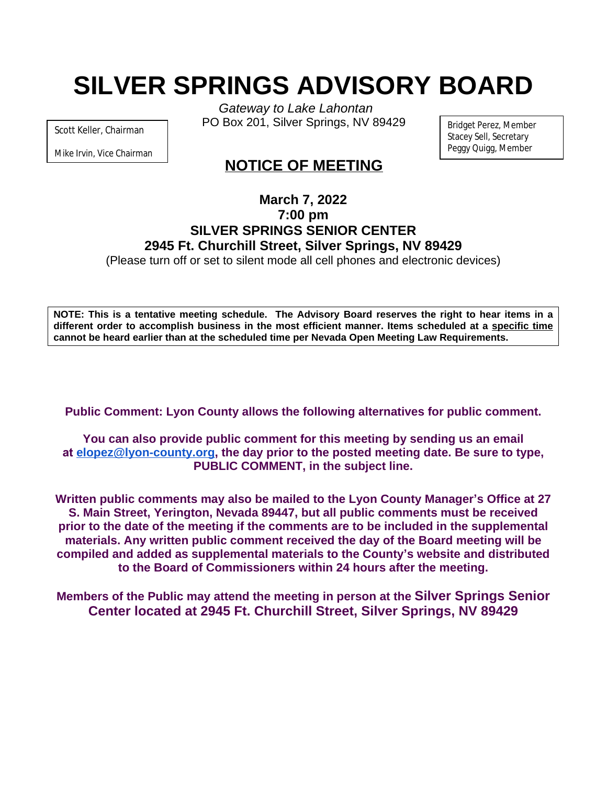# **SILVER SPRINGS ADVISORY BOARD**

Scott Keller, Chairman

Mike Irvin, Vice Chairman

*Gateway to Lake Lahontan* PO Box 201, Silver Springs, NV 89429

Bridget Perez, Member Stacey Sell, Secretary Peggy Quigg, Member

# **NOTICE OF MEETING**

# **March 7, 2022 7:00 pm SILVER SPRINGS SENIOR CENTER 2945 Ft. Churchill Street, Silver Springs, NV 89429**

(Please turn off or set to silent mode all cell phones and electronic devices)

NOTE: This is a tentative meeting schedule. The Advisory Board reserves the right to hear items in a **different order to accomplish business in the most efficient manner. Items scheduled at a specific time cannot be heard earlier than at the scheduled time per Nevada Open Meeting Law Requirements.**

**Public Comment: Lyon County allows the following alternatives for public comment.**

**You can also provide public comment for this meeting by sending us an email at [elopez@lyon-county.org,](about:blank) the day prior to the posted meeting date. Be sure to type, PUBLIC COMMENT, in the subject line.**

**Written public comments may also be mailed to the Lyon County Manager's Office at 27 S. Main Street, Yerington, Nevada 89447, but all public comments must be received prior to the date of the meeting if the comments are to be included in the supplemental materials. Any written public comment received the day of the Board meeting will be compiled and added as supplemental materials to the County's website and distributed to the Board of Commissioners within 24 hours after the meeting.**

**Members of the Public may attend the meeting in person at the Silver Springs Senior Center located at 2945 Ft. Churchill Street, Silver Springs, NV 89429**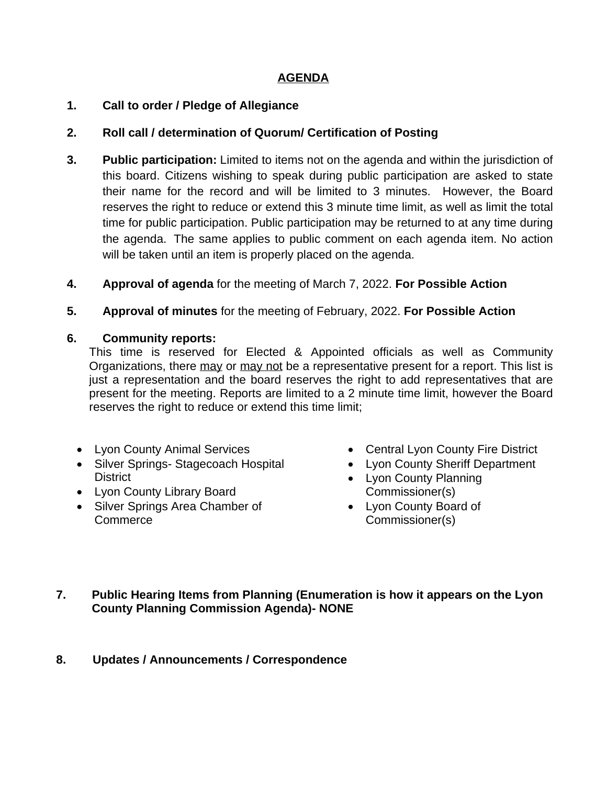## **AGENDA**

#### **1. Call to order / Pledge of Allegiance**

#### **2. Roll call / determination of Quorum/ Certification of Posting**

- **3. Public participation:** Limited to items not on the agenda and within the jurisdiction of this board. Citizens wishing to speak during public participation are asked to state their name for the record and will be limited to 3 minutes. However, the Board reserves the right to reduce or extend this 3 minute time limit, as well as limit the total time for public participation. Public participation may be returned to at any time during the agenda. The same applies to public comment on each agenda item. No action will be taken until an item is properly placed on the agenda.
- **4. Approval of agenda** for the meeting of March 7, 2022. **For Possible Action**
- **5. Approval of minutes** for the meeting of February, 2022. **For Possible Action**

#### **6. Community reports:**

This time is reserved for Elected & Appointed officials as well as Community Organizations, there may or may not be a representative present for a report. This list is just a representation and the board reserves the right to add representatives that are present for the meeting. Reports are limited to a 2 minute time limit, however the Board reserves the right to reduce or extend this time limit;

- Lyon County Animal Services
- Silver Springs- Stagecoach Hospital **District**
- Lyon County Library Board
- Silver Springs Area Chamber of **Commerce**
- Central Lyon County Fire District
- Lyon County Sheriff Department
- Lyon County Planning Commissioner(s)
- Lyon County Board of Commissioner(s)
- **7. Public Hearing Items from Planning (Enumeration is how it appears on the Lyon County Planning Commission Agenda)- NONE**

## **8. Updates / Announcements / Correspondence**